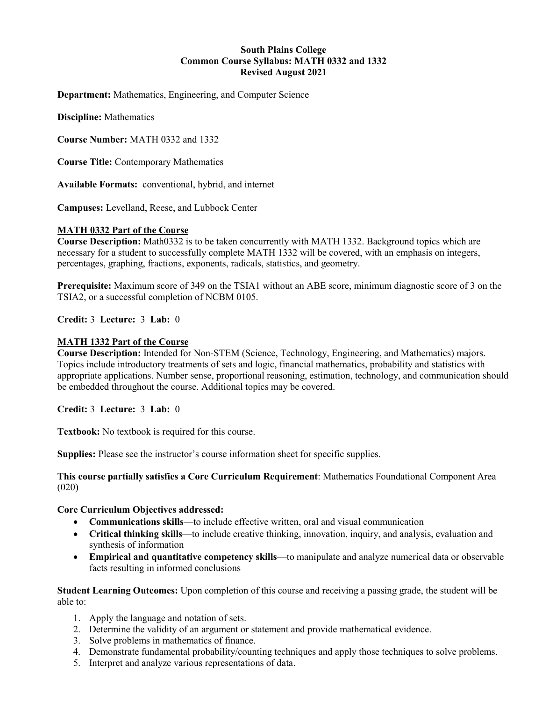### **South Plains College Common Course Syllabus: MATH 0332 and 1332 Revised August 2021**

**Department:** Mathematics, Engineering, and Computer Science

**Discipline:** Mathematics

**Course Number:** MATH 0332 and 1332

**Course Title:** Contemporary Mathematics

**Available Formats:** conventional, hybrid, and internet

**Campuses:** Levelland, Reese, and Lubbock Center

### **MATH 0332 Part of the Course**

**Course Description:** Math0332 is to be taken concurrently with MATH 1332. Background topics which are necessary for a student to successfully complete MATH 1332 will be covered, with an emphasis on integers, percentages, graphing, fractions, exponents, radicals, statistics, and geometry.

**Prerequisite:** Maximum score of 349 on the TSIA1 without an ABE score, minimum diagnostic score of 3 on the TSIA2, or a successful completion of NCBM 0105.

**Credit:** 3 **Lecture:** 3 **Lab:** 0

#### **MATH 1332 Part of the Course**

**Course Description:** Intended for Non-STEM (Science, Technology, Engineering, and Mathematics) majors. Topics include introductory treatments of sets and logic, financial mathematics, probability and statistics with appropriate applications. Number sense, proportional reasoning, estimation, technology, and communication should be embedded throughout the course. Additional topics may be covered.

**Credit:** 3 **Lecture:** 3 **Lab:** 0

**Textbook:** No textbook is required for this course.

**Supplies:** Please see the instructor's course information sheet for specific supplies.

#### **This course partially satisfies a Core Curriculum Requirement**: Mathematics Foundational Component Area (020)

#### **Core Curriculum Objectives addressed:**

- **Communications skills**—to include effective written, oral and visual communication
- **Critical thinking skills**—to include creative thinking, innovation, inquiry, and analysis, evaluation and synthesis of information
- **Empirical and quantitative competency skills**—to manipulate and analyze numerical data or observable facts resulting in informed conclusions

**Student Learning Outcomes:** Upon completion of this course and receiving a passing grade, the student will be able to:

- 1. Apply the language and notation of sets.
- 2. Determine the validity of an argument or statement and provide mathematical evidence.
- 3. Solve problems in mathematics of finance.
- 4. Demonstrate fundamental probability/counting techniques and apply those techniques to solve problems.
- 5. Interpret and analyze various representations of data.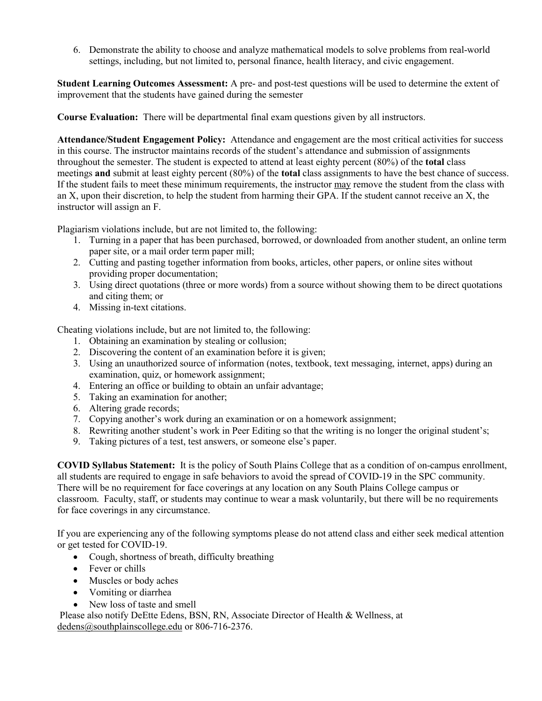6. Demonstrate the ability to choose and analyze mathematical models to solve problems from real-world settings, including, but not limited to, personal finance, health literacy, and civic engagement.

**Student Learning Outcomes Assessment:** A pre- and post-test questions will be used to determine the extent of improvement that the students have gained during the semester

**Course Evaluation:** There will be departmental final exam questions given by all instructors.

**Attendance/Student Engagement Policy:** Attendance and engagement are the most critical activities for success in this course. The instructor maintains records of the student's attendance and submission of assignments throughout the semester. The student is expected to attend at least eighty percent (80%) of the **total** class meetings **and** submit at least eighty percent (80%) of the **total** class assignments to have the best chance of success. If the student fails to meet these minimum requirements, the instructor may remove the student from the class with an X, upon their discretion, to help the student from harming their GPA. If the student cannot receive an X, the instructor will assign an F.

Plagiarism violations include, but are not limited to, the following:

- 1. Turning in a paper that has been purchased, borrowed, or downloaded from another student, an online term paper site, or a mail order term paper mill;
- 2. Cutting and pasting together information from books, articles, other papers, or online sites without providing proper documentation;
- 3. Using direct quotations (three or more words) from a source without showing them to be direct quotations and citing them; or
- 4. Missing in-text citations.

Cheating violations include, but are not limited to, the following:

- 1. Obtaining an examination by stealing or collusion;
- 2. Discovering the content of an examination before it is given;
- 3. Using an unauthorized source of information (notes, textbook, text messaging, internet, apps) during an examination, quiz, or homework assignment;
- 4. Entering an office or building to obtain an unfair advantage;
- 5. Taking an examination for another;
- 6. Altering grade records;
- 7. Copying another's work during an examination or on a homework assignment;
- 8. Rewriting another student's work in Peer Editing so that the writing is no longer the original student's;
- 9. Taking pictures of a test, test answers, or someone else's paper.

**COVID Syllabus Statement:** It is the policy of South Plains College that as a condition of on-campus enrollment, all students are required to engage in safe behaviors to avoid the spread of COVID-19 in the SPC community. There will be no requirement for face coverings at any location on any South Plains College campus or classroom. Faculty, staff, or students may continue to wear a mask voluntarily, but there will be no requirements for face coverings in any circumstance.

If you are experiencing any of the following symptoms please do not attend class and either seek medical attention or get tested for COVID-19.

- Cough, shortness of breath, difficulty breathing
- Fever or chills
- Muscles or body aches
- Vomiting or diarrhea
- New loss of taste and smell

Please also notify DeEtte Edens, BSN, RN, Associate Director of Health & Wellness, at [dedens@southplainscollege.edu](mailto:dedens@southplainscollege.edu) or 806-716-2376.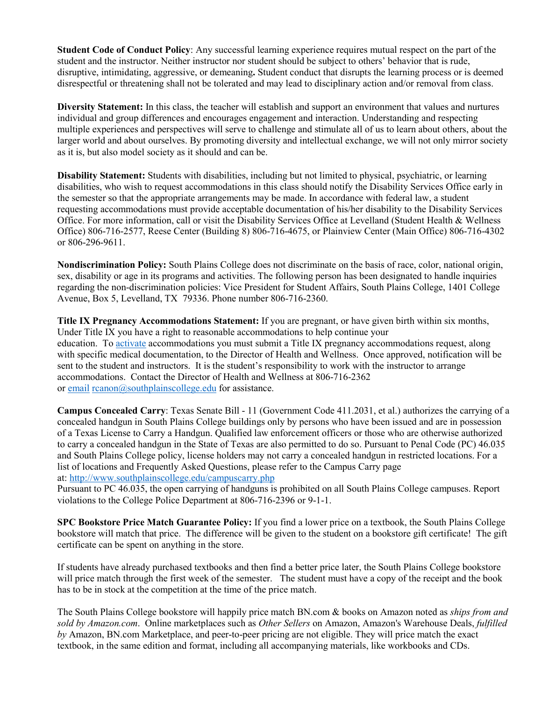**Student Code of Conduct Policy**: Any successful learning experience requires mutual respect on the part of the student and the instructor. Neither instructor nor student should be subject to others' behavior that is rude, disruptive, intimidating, aggressive, or demeaning**.** Student conduct that disrupts the learning process or is deemed disrespectful or threatening shall not be tolerated and may lead to disciplinary action and/or removal from class.

**Diversity Statement:** In this class, the teacher will establish and support an environment that values and nurtures individual and group differences and encourages engagement and interaction. Understanding and respecting multiple experiences and perspectives will serve to challenge and stimulate all of us to learn about others, about the larger world and about ourselves. By promoting diversity and intellectual exchange, we will not only mirror society as it is, but also model society as it should and can be.

**Disability Statement:** Students with disabilities, including but not limited to physical, psychiatric, or learning disabilities, who wish to request accommodations in this class should notify the Disability Services Office early in the semester so that the appropriate arrangements may be made. In accordance with federal law, a student requesting accommodations must provide acceptable documentation of his/her disability to the Disability Services Office. For more information, call or visit the Disability Services Office at Levelland (Student Health & Wellness Office) 806-716-2577, Reese Center (Building 8) 806-716-4675, or Plainview Center (Main Office) 806-716-4302 or 806-296-9611.

**Nondiscrimination Policy:** South Plains College does not discriminate on the basis of race, color, national origin, sex, disability or age in its programs and activities. The following person has been designated to handle inquiries regarding the non-discrimination policies: Vice President for Student Affairs, South Plains College, 1401 College Avenue, Box 5, Levelland, TX 79336. Phone number 806-716-2360.

**Title IX Pregnancy Accommodations Statement:** If you are pregnant, or have given birth within six months, Under Title IX you have a right to reasonable accommodations to help continue your education. To [activate](http://www.southplainscollege.edu/employees/manualshandbooks/facultyhandbook/sec4.php) accommodations you must submit a Title IX pregnancy accommodations request, along with specific medical documentation, to the Director of Health and Wellness. Once approved, notification will be sent to the student and instructors. It is the student's responsibility to work with the instructor to arrange accommodations. Contact the Director of Health and Wellness at 806-716-2362 or [email](http://www.southplainscollege.edu/employees/manualshandbooks/facultyhandbook/sec4.php) [rcanon@southplainscollege.edu](mailto:rcanon@southplainscollege.edu) for assistance.

**Campus Concealed Carry**: Texas Senate Bill - 11 (Government Code 411.2031, et al.) authorizes the carrying of a concealed handgun in South Plains College buildings only by persons who have been issued and are in possession of a Texas License to Carry a Handgun. Qualified law enforcement officers or those who are otherwise authorized to carry a concealed handgun in the State of Texas are also permitted to do so. Pursuant to Penal Code (PC) 46.035 and South Plains College policy, license holders may not carry a concealed handgun in restricted locations. For a list of locations and Frequently Asked Questions, please refer to the Campus Carry page at: <http://www.southplainscollege.edu/campuscarry.php>

Pursuant to PC 46.035, the open carrying of handguns is prohibited on all South Plains College campuses. Report violations to the College Police Department at 806-716-2396 or 9-1-1.

**SPC Bookstore Price Match Guarantee Policy:** If you find a lower price on a textbook, the South Plains College bookstore will match that price. The difference will be given to the student on a bookstore gift certificate! The gift certificate can be spent on anything in the store.

If students have already purchased textbooks and then find a better price later, the South Plains College bookstore will price match through the first week of the semester. The student must have a copy of the receipt and the book has to be in stock at the competition at the time of the price match.

The South Plains College bookstore will happily price match BN.com & books on Amazon noted as *ships from and sold by Amazon.com*. Online marketplaces such as *Other Sellers* on Amazon, Amazon's Warehouse Deals, *fulfilled by* Amazon, BN.com Marketplace, and peer-to-peer pricing are not eligible. They will price match the exact textbook, in the same edition and format, including all accompanying materials, like workbooks and CDs.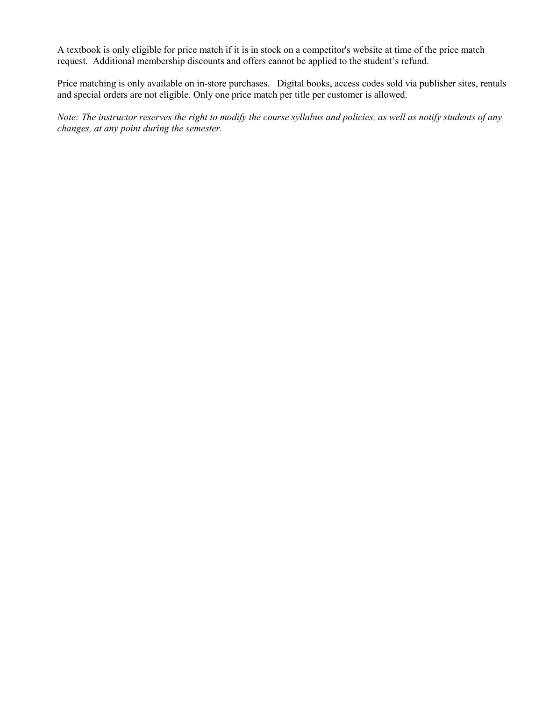A textbook is only eligible for price match if it is in stock on a competitor's website at time of the price match request. Additional membership discounts and offers cannot be applied to the student's refund.

Price matching is only available on in-store purchases. Digital books, access codes sold via publisher sites, rentals and special orders are not eligible. Only one price match per title per customer is allowed.

*Note: The instructor reserves the right to modify the course syllabus and policies, as well as notify students of any changes, at any point during the semester.*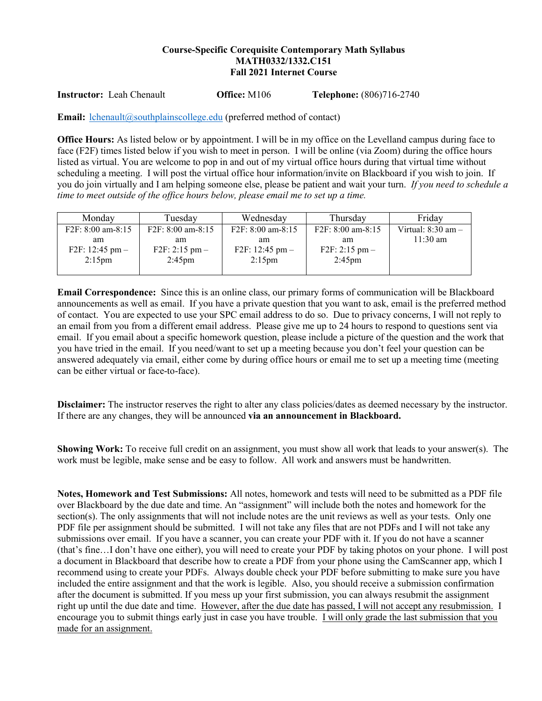### **Course-Specific Corequisite Contemporary Math Syllabus MATH0332/1332.C151 Fall 2021 Internet Course**

**Instructor:** Leah Chenault **Office:** M106 **Telephone:** (806)716-2740

**Email:** [lchenault@southplainscollege.edu](mailto:lchenault@southplainscollege.edu) (preferred method of contact)

**Office Hours:** As listed below or by appointment. I will be in my office on the Levelland campus during face to face (F2F) times listed below if you wish to meet in person. I will be online (via Zoom) during the office hours listed as virtual. You are welcome to pop in and out of my virtual office hours during that virtual time without scheduling a meeting. I will post the virtual office hour information/invite on Blackboard if you wish to join. If you do join virtually and I am helping someone else, please be patient and wait your turn. *If you need to schedule a time to meet outside of the office hours below, please email me to set up a time.* 

| Monday                    | Tuesday                        | Wednesday                 | Thursday               | Friday                 |
|---------------------------|--------------------------------|---------------------------|------------------------|------------------------|
| $F2F: 8:00$ am-8:15       | $F2F: 8:00$ am-8:15            | $F2F: 8:00$ am-8:15       | F2F: 8:00 am-8:15      | Virtual: $8:30$ am $-$ |
| am<br>F2F: $12:45$ pm $-$ | am<br>$F2F: 2:15 \text{ pm} -$ | am<br>F2F: $12:45$ pm $-$ | am<br>$F2F: 2:15$ pm – | $11:30 \text{ am}$     |
| $2:15 \text{pm}$          | $2:45 \text{pm}$               | $2:15 \text{pm}$          | $2:45 \text{pm}$       |                        |

**Email Correspondence:** Since this is an online class, our primary forms of communication will be Blackboard announcements as well as email. If you have a private question that you want to ask, email is the preferred method of contact. You are expected to use your SPC email address to do so. Due to privacy concerns, I will not reply to an email from you from a different email address. Please give me up to 24 hours to respond to questions sent via email. If you email about a specific homework question, please include a picture of the question and the work that you have tried in the email. If you need/want to set up a meeting because you don't feel your question can be answered adequately via email, either come by during office hours or email me to set up a meeting time (meeting can be either virtual or face-to-face).

**Disclaimer:** The instructor reserves the right to alter any class policies/dates as deemed necessary by the instructor. If there are any changes, they will be announced **via an announcement in Blackboard.** 

**Showing Work:** To receive full credit on an assignment, you must show all work that leads to your answer(s). The work must be legible, make sense and be easy to follow. All work and answers must be handwritten.

**Notes, Homework and Test Submissions:** All notes, homework and tests will need to be submitted as a PDF file over Blackboard by the due date and time. An "assignment" will include both the notes and homework for the section(s). The only assignments that will not include notes are the unit reviews as well as your tests. Only one PDF file per assignment should be submitted. I will not take any files that are not PDFs and I will not take any submissions over email. If you have a scanner, you can create your PDF with it. If you do not have a scanner (that's fine…I don't have one either), you will need to create your PDF by taking photos on your phone. I will post a document in Blackboard that describe how to create a PDF from your phone using the CamScanner app, which I recommend using to create your PDFs. Always double check your PDF before submitting to make sure you have included the entire assignment and that the work is legible. Also, you should receive a submission confirmation after the document is submitted. If you mess up your first submission, you can always resubmit the assignment right up until the due date and time. However, after the due date has passed, I will not accept any resubmission. I encourage you to submit things early just in case you have trouble. I will only grade the last submission that you made for an assignment.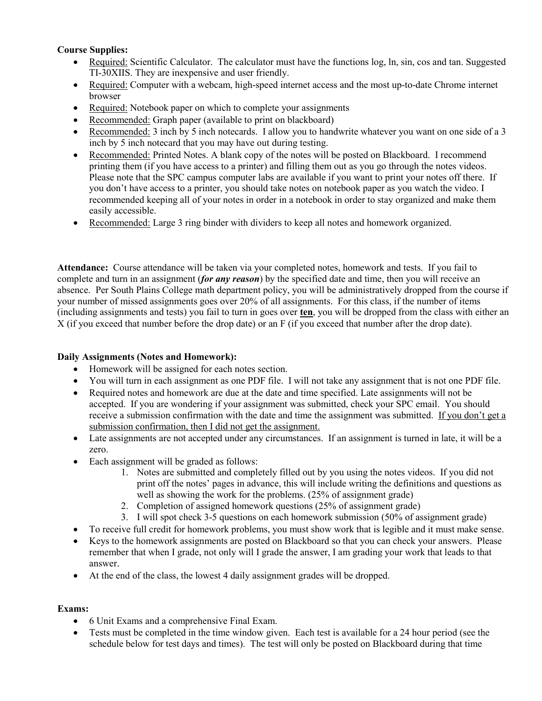# **Course Supplies:**

- Required: Scientific Calculator. The calculator must have the functions log, ln, sin, cos and tan. Suggested TI-30XIIS. They are inexpensive and user friendly.
- Required: Computer with a webcam, high-speed internet access and the most up-to-date Chrome internet browser
- Required: Notebook paper on which to complete your assignments
- Recommended: Graph paper (available to print on blackboard)
- Recommended: 3 inch by 5 inch notecards. I allow you to handwrite whatever you want on one side of a 3 inch by 5 inch notecard that you may have out during testing.
- Recommended: Printed Notes. A blank copy of the notes will be posted on Blackboard. I recommend printing them (if you have access to a printer) and filling them out as you go through the notes videos. Please note that the SPC campus computer labs are available if you want to print your notes off there. If you don't have access to a printer, you should take notes on notebook paper as you watch the video. I recommended keeping all of your notes in order in a notebook in order to stay organized and make them easily accessible.
- Recommended: Large 3 ring binder with dividers to keep all notes and homework organized.

**Attendance:** Course attendance will be taken via your completed notes, homework and tests. If you fail to complete and turn in an assignment (*for any reason*) by the specified date and time, then you will receive an absence. Per South Plains College math department policy, you will be administratively dropped from the course if your number of missed assignments goes over 20% of all assignments. For this class, if the number of items (including assignments and tests) you fail to turn in goes over **ten**, you will be dropped from the class with either an X (if you exceed that number before the drop date) or an F (if you exceed that number after the drop date).

# **Daily Assignments (Notes and Homework):**

- Homework will be assigned for each notes section.
- You will turn in each assignment as one PDF file. I will not take any assignment that is not one PDF file.
- Required notes and homework are due at the date and time specified. Late assignments will not be accepted. If you are wondering if your assignment was submitted, check your SPC email. You should receive a submission confirmation with the date and time the assignment was submitted. If you don't get a submission confirmation, then I did not get the assignment.
- Late assignments are not accepted under any circumstances. If an assignment is turned in late, it will be a zero.
- Each assignment will be graded as follows:
	- 1. Notes are submitted and completely filled out by you using the notes videos. If you did not print off the notes' pages in advance, this will include writing the definitions and questions as well as showing the work for the problems. (25% of assignment grade)
	- 2. Completion of assigned homework questions (25% of assignment grade)
	- 3. I will spot check 3-5 questions on each homework submission (50% of assignment grade)
- To receive full credit for homework problems, you must show work that is legible and it must make sense.
- Keys to the homework assignments are posted on Blackboard so that you can check your answers. Please remember that when I grade, not only will I grade the answer, I am grading your work that leads to that answer.
- At the end of the class, the lowest 4 daily assignment grades will be dropped.

# **Exams:**

- 6 Unit Exams and a comprehensive Final Exam.
- Tests must be completed in the time window given. Each test is available for a 24 hour period (see the schedule below for test days and times). The test will only be posted on Blackboard during that time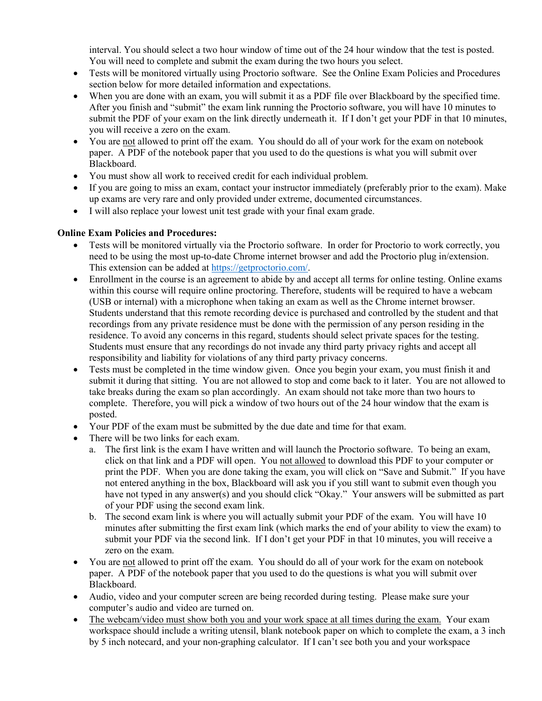interval. You should select a two hour window of time out of the 24 hour window that the test is posted. You will need to complete and submit the exam during the two hours you select.

- Tests will be monitored virtually using Proctorio software. See the Online Exam Policies and Procedures section below for more detailed information and expectations.
- When you are done with an exam, you will submit it as a PDF file over Blackboard by the specified time. After you finish and "submit" the exam link running the Proctorio software, you will have 10 minutes to submit the PDF of your exam on the link directly underneath it. If I don't get your PDF in that 10 minutes, you will receive a zero on the exam.
- You are not allowed to print off the exam. You should do all of your work for the exam on notebook paper. A PDF of the notebook paper that you used to do the questions is what you will submit over Blackboard.
- You must show all work to received credit for each individual problem.
- If you are going to miss an exam, contact your instructor immediately (preferably prior to the exam). Make up exams are very rare and only provided under extreme, documented circumstances.
- I will also replace your lowest unit test grade with your final exam grade.

# **Online Exam Policies and Procedures:**

- Tests will be monitored virtually via the Proctorio software. In order for Proctorio to work correctly, you need to be using the most up-to-date Chrome internet browser and add the Proctorio plug in/extension. This extension can be added at [https://getproctorio.com/.](https://getproctorio.com/)
- Enrollment in the course is an agreement to abide by and accept all terms for online testing. Online exams within this course will require online proctoring. Therefore, students will be required to have a webcam (USB or internal) with a microphone when taking an exam as well as the Chrome internet browser. Students understand that this remote recording device is purchased and controlled by the student and that recordings from any private residence must be done with the permission of any person residing in the residence. To avoid any concerns in this regard, students should select private spaces for the testing. Students must ensure that any recordings do not invade any third party privacy rights and accept all responsibility and liability for violations of any third party privacy concerns.
- Tests must be completed in the time window given. Once you begin your exam, you must finish it and submit it during that sitting. You are not allowed to stop and come back to it later. You are not allowed to take breaks during the exam so plan accordingly. An exam should not take more than two hours to complete. Therefore, you will pick a window of two hours out of the 24 hour window that the exam is posted.
- Your PDF of the exam must be submitted by the due date and time for that exam.
- There will be two links for each exam.
	- a. The first link is the exam I have written and will launch the Proctorio software. To being an exam, click on that link and a PDF will open. You not allowed to download this PDF to your computer or print the PDF. When you are done taking the exam, you will click on "Save and Submit." If you have not entered anything in the box, Blackboard will ask you if you still want to submit even though you have not typed in any answer(s) and you should click "Okay." Your answers will be submitted as part of your PDF using the second exam link.
	- b. The second exam link is where you will actually submit your PDF of the exam. You will have 10 minutes after submitting the first exam link (which marks the end of your ability to view the exam) to submit your PDF via the second link. If I don't get your PDF in that 10 minutes, you will receive a zero on the exam.
- You are not allowed to print off the exam. You should do all of your work for the exam on notebook paper. A PDF of the notebook paper that you used to do the questions is what you will submit over Blackboard.
- Audio, video and your computer screen are being recorded during testing. Please make sure your computer's audio and video are turned on.
- The webcam/video must show both you and your work space at all times during the exam. Your exam workspace should include a writing utensil, blank notebook paper on which to complete the exam, a 3 inch by 5 inch notecard, and your non-graphing calculator. If I can't see both you and your workspace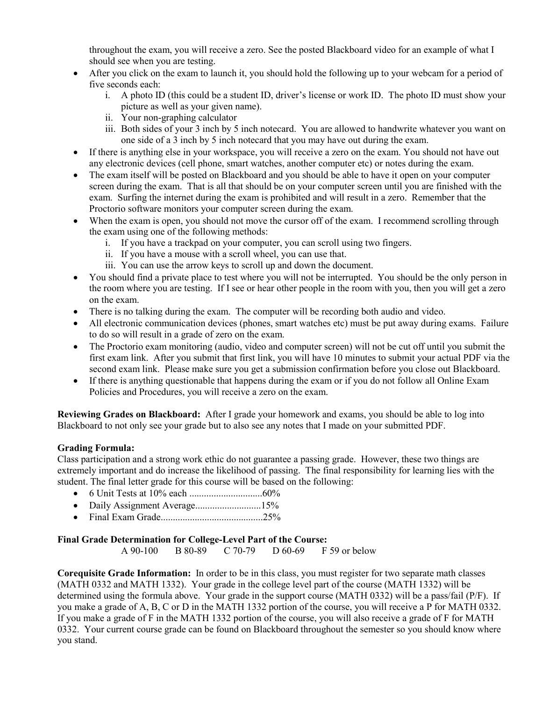throughout the exam, you will receive a zero. See the posted Blackboard video for an example of what I should see when you are testing.

- After you click on the exam to launch it, you should hold the following up to your webcam for a period of five seconds each:
	- i. A photo ID (this could be a student ID, driver's license or work ID. The photo ID must show your picture as well as your given name).
	- ii. Your non-graphing calculator
	- iii. Both sides of your 3 inch by 5 inch notecard. You are allowed to handwrite whatever you want on one side of a 3 inch by 5 inch notecard that you may have out during the exam.
- If there is anything else in your workspace, you will receive a zero on the exam. You should not have out any electronic devices (cell phone, smart watches, another computer etc) or notes during the exam.
- The exam itself will be posted on Blackboard and you should be able to have it open on your computer screen during the exam. That is all that should be on your computer screen until you are finished with the exam. Surfing the internet during the exam is prohibited and will result in a zero. Remember that the Proctorio software monitors your computer screen during the exam.
- When the exam is open, you should not move the cursor off of the exam. I recommend scrolling through the exam using one of the following methods:
	- i. If you have a trackpad on your computer, you can scroll using two fingers.
	- ii. If you have a mouse with a scroll wheel, you can use that.
	- iii. You can use the arrow keys to scroll up and down the document.
- You should find a private place to test where you will not be interrupted. You should be the only person in the room where you are testing. If I see or hear other people in the room with you, then you will get a zero on the exam.
- There is no talking during the exam. The computer will be recording both audio and video.
- All electronic communication devices (phones, smart watches etc) must be put away during exams. Failure to do so will result in a grade of zero on the exam.
- The Proctorio exam monitoring (audio, video and computer screen) will not be cut off until you submit the first exam link. After you submit that first link, you will have 10 minutes to submit your actual PDF via the second exam link. Please make sure you get a submission confirmation before you close out Blackboard.
- If there is anything questionable that happens during the exam or if you do not follow all Online Exam Policies and Procedures, you will receive a zero on the exam.

**Reviewing Grades on Blackboard:** After I grade your homework and exams, you should be able to log into Blackboard to not only see your grade but to also see any notes that I made on your submitted PDF.

#### **Grading Formula:**

Class participation and a strong work ethic do not guarantee a passing grade. However, these two things are extremely important and do increase the likelihood of passing. The final responsibility for learning lies with the student. The final letter grade for this course will be based on the following:

- 6 Unit Tests at 10% each ..............................60%
- Daily Assignment Average..............................15%
- Final Exam Grade..........................................25%

# **Final Grade Determination for College-Level Part of the Course:**

A 90-100 B 80-89 C 70-79 D 60-69 F 59 or below

**Corequisite Grade Information:** In order to be in this class, you must register for two separate math classes (MATH 0332 and MATH 1332). Your grade in the college level part of the course (MATH 1332) will be determined using the formula above. Your grade in the support course (MATH 0332) will be a pass/fail (P/F). If you make a grade of A, B, C or D in the MATH 1332 portion of the course, you will receive a P for MATH 0332. If you make a grade of F in the MATH 1332 portion of the course, you will also receive a grade of F for MATH 0332. Your current course grade can be found on Blackboard throughout the semester so you should know where you stand.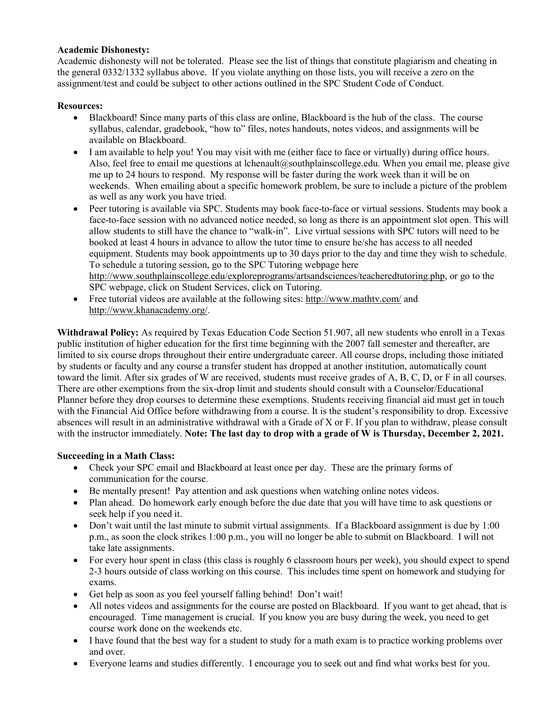#### **Academic Dishonesty:**

Academic dishonesty will not be tolerated. Please see the list of things that constitute plagiarism and cheating in the general 0332/1332 syllabus above. If you violate anything on those lists, you will receive a zero on the assignment/test and could be subject to other actions outlined in the SPC Student Code of Conduct.

### **Resources:**

- Blackboard! Since many parts of this class are online, Blackboard is the hub of the class. The course syllabus, calendar, gradebook, "how to" files, notes handouts, notes videos, and assignments will be available on Blackboard.
- I am available to help you! You may visit with me (either face to face or virtually) during office hours. Also, feel free to email me questions at lchenault@southplainscollege.edu. When you email me, please give me up to 24 hours to respond. My response will be faster during the work week than it will be on weekends. When emailing about a specific homework problem, be sure to include a picture of the problem as well as any work you have tried.
- Peer tutoring is available via SPC. Students may book face-to-face or virtual sessions. Students may book a face-to-face session with no advanced notice needed, so long as there is an appointment slot open. This will allow students to still have the chance to "walk-in". Live virtual sessions with SPC tutors will need to be booked at least 4 hours in advance to allow the tutor time to ensure he/she has access to all needed equipment. Students may book appointments up to 30 days prior to the day and time they wish to schedule. To schedule a tutoring session, go to the SPC Tutoring webpage here [http://www.southplainscollege.edu/exploreprograms/artsandsciences/teacheredtutoring.php,](http://www.southplainscollege.edu/exploreprograms/artsandsciences/teacheredtutoring.php) or go to the SPC webpage, click on Student Services, click on Tutoring.
- Free tutorial videos are available at the following sites:<http://www.mathtv.com/> and [http://www.khanacademy.org/.](http://www.khanacademy.org/)

**Withdrawal Policy:** As required by Texas Education Code Section 51.907, all new students who enroll in a Texas public institution of higher education for the first time beginning with the 2007 fall semester and thereafter, are limited to six course drops throughout their entire undergraduate career. All course drops, including those initiated by students or faculty and any course a transfer student has dropped at another institution, automatically count toward the limit. After six grades of W are received, students must receive grades of A, B, C, D, or F in all courses. There are other exemptions from the six-drop limit and students should consult with a Counselor/Educational Planner before they drop courses to determine these exemptions. Students receiving financial aid must get in touch with the Financial Aid Office before withdrawing from a course. It is the student's responsibility to drop. Excessive absences will result in an administrative withdrawal with a Grade of X or F. If you plan to withdraw, please consult with the instructor immediately. **Note: The last day to drop with a grade of W is Thursday, December 2, 2021.** 

# **Succeeding in a Math Class:**

- Check your SPC email and Blackboard at least once per day. These are the primary forms of communication for the course.
- Be mentally present! Pay attention and ask questions when watching online notes videos.
- Plan ahead. Do homework early enough before the due date that you will have time to ask questions or seek help if you need it.
- Don't wait until the last minute to submit virtual assignments. If a Blackboard assignment is due by 1:00 p.m., as soon the clock strikes 1:00 p.m., you will no longer be able to submit on Blackboard. I will not take late assignments.
- For every hour spent in class (this class is roughly 6 classroom hours per week), you should expect to spend 2-3 hours outside of class working on this course. This includes time spent on homework and studying for exams.
- Get help as soon as you feel yourself falling behind! Don't wait!
- All notes videos and assignments for the course are posted on Blackboard. If you want to get ahead, that is encouraged. Time management is crucial. If you know you are busy during the week, you need to get course work done on the weekends etc.
- I have found that the best way for a student to study for a math exam is to practice working problems over and over.
- Everyone learns and studies differently. I encourage you to seek out and find what works best for you.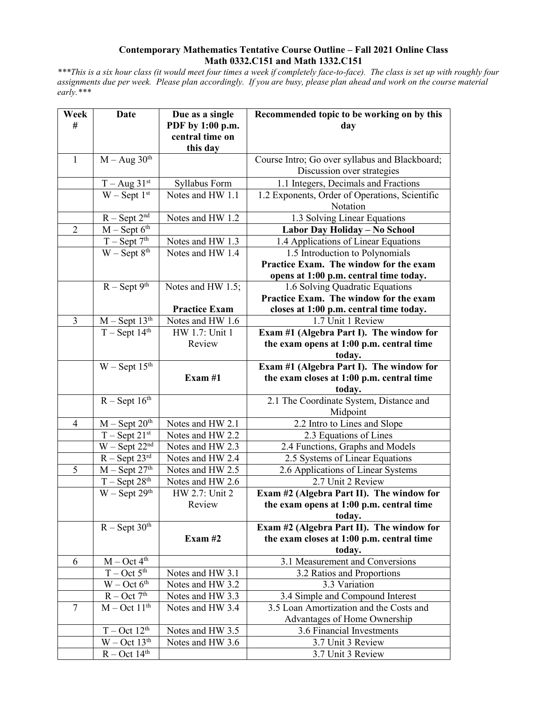#### **Contemporary Mathematics Tentative Course Outline – Fall 2021 Online Class Math 0332.C151 and Math 1332.C151**

*\*\*\*This is a six hour class (it would meet four times a week if completely face-to-face). The class is set up with roughly four assignments due per week. Please plan accordingly. If you are busy, please plan ahead and work on the course material early.\*\*\**

| Week           | Date                            | Due as a single      | Recommended topic to be working on by this                                  |
|----------------|---------------------------------|----------------------|-----------------------------------------------------------------------------|
| #              |                                 | PDF by 1:00 p.m.     | day                                                                         |
|                |                                 | central time on      |                                                                             |
|                |                                 | this day             |                                                                             |
| $\mathbf{1}$   | $M - Aug 30th$                  |                      | Course Intro; Go over syllabus and Blackboard;                              |
|                |                                 |                      | Discussion over strategies                                                  |
|                | $T - Aug 31st$                  | Syllabus Form        | 1.1 Integers, Decimals and Fractions                                        |
|                | $W -$ Sept $1st$                | Notes and HW 1.1     | 1.2 Exponents, Order of Operations, Scientific                              |
|                |                                 |                      | Notation                                                                    |
|                | $R -$ Sept $2nd$                | Notes and HW 1.2     | 1.3 Solving Linear Equations                                                |
| $\overline{2}$ | $M -$ Sept $6th$                |                      | Labor Day Holiday - No School                                               |
|                | $T -$ Sept $7th$                | Notes and HW 1.3     | 1.4 Applications of Linear Equations                                        |
|                | $W -$ Sept $8th$                | Notes and HW 1.4     | 1.5 Introduction to Polynomials                                             |
|                |                                 |                      | Practice Exam. The window for the exam                                      |
|                |                                 |                      | opens at 1:00 p.m. central time today.                                      |
|                | $R -$ Sept 9 <sup>th</sup>      | Notes and HW 1.5;    | 1.6 Solving Quadratic Equations<br>Practice Exam. The window for the exam   |
|                |                                 | <b>Practice Exam</b> | closes at 1:00 p.m. central time today.                                     |
| 3              | $M -$ Sept 13 <sup>th</sup>     | Notes and HW 1.6     | 1.7 Unit 1 Review                                                           |
|                | $T - Sept 14th$                 | HW 1.7: Unit 1       | Exam #1 (Algebra Part I). The window for                                    |
|                |                                 | Review               | the exam opens at 1:00 p.m. central time                                    |
|                |                                 |                      | today.                                                                      |
|                | $W$ – Sept 15 <sup>th</sup>     |                      | Exam #1 (Algebra Part I). The window for                                    |
|                |                                 | Exam $#1$            | the exam closes at 1:00 p.m. central time                                   |
|                |                                 |                      | today.                                                                      |
|                | $R -$ Sept 16 <sup>th</sup>     |                      | 2.1 The Coordinate System, Distance and                                     |
|                |                                 |                      | Midpoint                                                                    |
| $\overline{4}$ | $M -$ Sept $20th$               | Notes and HW 2.1     | 2.2 Intro to Lines and Slope                                                |
|                | $T -$ Sept $21^{st}$            | Notes and HW 2.2     | 2.3 Equations of Lines                                                      |
|                | $W -$ Sept $22nd$               | Notes and HW 2.3     | 2.4 Functions, Graphs and Models                                            |
|                | $R - Sept 23rd$                 | Notes and HW 2.4     | 2.5 Systems of Linear Equations                                             |
| 5              | $M -$ Sept 27 <sup>th</sup>     | Notes and HW 2.5     | 2.6 Applications of Linear Systems                                          |
|                | $T - Sept 28th$                 | Notes and HW 2.6     | 2.7 Unit 2 Review                                                           |
|                | $W -$ Sept $29th$               | HW 2.7: Unit 2       | Exam #2 (Algebra Part II). The window for                                   |
|                |                                 | Review               | the exam opens at 1:00 p.m. central time                                    |
|                |                                 |                      | today.                                                                      |
|                | $R -$ Sept $3\overline{0^{th}}$ |                      | Exam #2 (Algebra Part II). The window for                                   |
|                |                                 | Exam $#2$            | the exam closes at 1:00 p.m. central time                                   |
|                | $M - Oct 4th$                   |                      | today.                                                                      |
| 6              | $T - Oct 5th$                   | Notes and HW 3.1     | 3.1 Measurement and Conversions                                             |
|                | $W - Oct 6th$                   | Notes and HW 3.2     | 3.2 Ratios and Proportions<br>3.3 Variation                                 |
|                | $R - Oct 7th$                   | Notes and HW 3.3     |                                                                             |
| 7              | $M - Oct 11th$                  | Notes and HW 3.4     | 3.4 Simple and Compound Interest<br>3.5 Loan Amortization and the Costs and |
|                |                                 |                      | Advantages of Home Ownership                                                |
|                | $T - Oct 12th$                  | Notes and HW 3.5     | 3.6 Financial Investments                                                   |
|                | $W - Oct 13th$                  | Notes and HW 3.6     | 3.7 Unit 3 Review                                                           |
|                | $R - Oct$ 14 <sup>th</sup>      |                      | 3.7 Unit 3 Review                                                           |
|                |                                 |                      |                                                                             |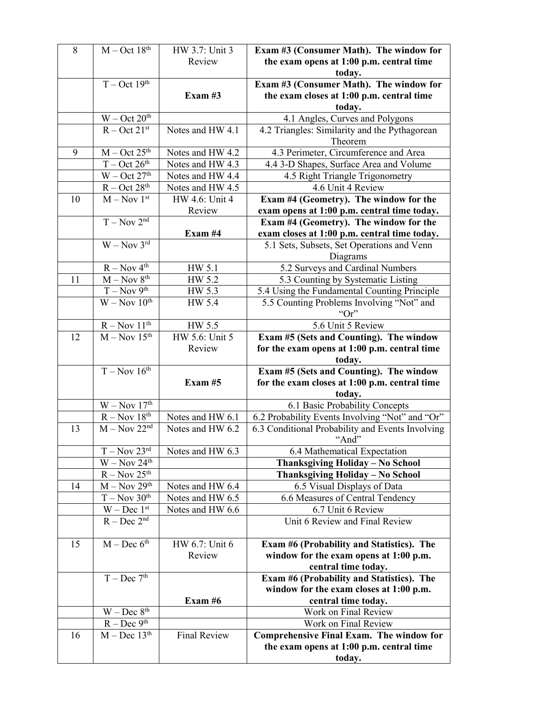| $8\,$ | $M - Oct$ 18 <sup>th</sup>                                               | HW 3.7: Unit 3      | Exam #3 (Consumer Math). The window for          |
|-------|--------------------------------------------------------------------------|---------------------|--------------------------------------------------|
|       |                                                                          | Review              | the exam opens at 1:00 p.m. central time         |
|       |                                                                          |                     | today.                                           |
|       | $T - Oct$ 19 <sup>th</sup>                                               |                     | Exam #3 (Consumer Math). The window for          |
|       |                                                                          | Exam $#3$           | the exam closes at 1:00 p.m. central time        |
|       |                                                                          |                     | today.                                           |
|       | $W - Oct 20th$                                                           |                     | 4.1 Angles, Curves and Polygons                  |
|       | $R - Oct$ $21st$                                                         | Notes and HW 4.1    | 4.2 Triangles: Similarity and the Pythagorean    |
|       |                                                                          |                     | Theorem                                          |
| 9     | $M - Oct 25th$                                                           | Notes and HW 4.2    | 4.3 Perimeter, Circumference and Area            |
|       | $T - Oct 26th$                                                           | Notes and HW 4.3    | 4.4 3-D Shapes, Surface Area and Volume          |
|       | $W - Oct 27th$                                                           | Notes and HW 4.4    | 4.5 Right Triangle Trigonometry                  |
|       | $R - Oct$ 28 <sup>th</sup>                                               | Notes and HW 4.5    | 4.6 Unit 4 Review                                |
| 10    | $M - Nov 1st$                                                            | HW 4.6: Unit 4      | Exam #4 (Geometry). The window for the           |
|       |                                                                          | Review              | exam opens at 1:00 p.m. central time today.      |
|       | $T - Nov 2nd$                                                            |                     | Exam #4 (Geometry). The window for the           |
|       |                                                                          | Exam #4             |                                                  |
|       | $W - Nov 3rd$                                                            |                     | exam closes at 1:00 p.m. central time today.     |
|       |                                                                          |                     | 5.1 Sets, Subsets, Set Operations and Venn       |
|       |                                                                          |                     | Diagrams                                         |
|       | $R - Nov 4th$                                                            | HW 5.1              | 5.2 Surveys and Cardinal Numbers                 |
| 11    | $M - Nov 8th$                                                            | HW 5.2              | 5.3 Counting by Systematic Listing               |
|       | $T - Nov 9th$                                                            | HW 5.3              | 5.4 Using the Fundamental Counting Principle     |
|       | $W - Nov 10^{th}$                                                        | HW 5.4              | 5.5 Counting Problems Involving "Not" and        |
|       |                                                                          |                     | " $Or"$                                          |
|       | $R - Nov 11th$                                                           | $HW$ 5.5            | 5.6 Unit 5 Review                                |
| 12    | $M - Nov 15th$                                                           | HW 5.6: Unit 5      | Exam #5 (Sets and Counting). The window          |
|       |                                                                          | Review              | for the exam opens at 1:00 p.m. central time     |
|       |                                                                          |                     | today.                                           |
|       | $T - Nov 16th$                                                           |                     | Exam #5 (Sets and Counting). The window          |
|       |                                                                          | Exam $#5$           | for the exam closes at 1:00 p.m. central time    |
|       |                                                                          |                     | today.                                           |
|       | $W - Nov 17th$                                                           |                     | 6.1 Basic Probability Concepts                   |
|       | $R - Nov 18th$                                                           | Notes and HW 6.1    | 6.2 Probability Events Involving "Not" and "Or"  |
| 13    | $M - Nov 22nd$                                                           | Notes and HW 6.2    | 6.3 Conditional Probability and Events Involving |
|       |                                                                          |                     | "And"                                            |
|       | $T - Nov 23rd$                                                           | Notes and HW 6.3    | 6.4 Mathematical Expectation                     |
|       | $W - Nov 24th$                                                           |                     | Thanksgiving Holiday - No School                 |
|       | $R - Nov 25th$                                                           |                     | Thanksgiving Holiday - No School                 |
| 14    | $M - Nov 29th$                                                           | Notes and HW 6.4    | 6.5 Visual Displays of Data                      |
|       | $T - Nov 30th$                                                           | Notes and HW 6.5    | 6.6 Measures of Central Tendency                 |
|       | $W - Dec 1st$                                                            | Notes and HW 6.6    | 6.7 Unit 6 Review                                |
|       | $R - Dec 2nd$                                                            |                     | Unit 6 Review and Final Review                   |
|       |                                                                          |                     |                                                  |
| 15    | $M - Dec 6th$                                                            | HW 6.7: Unit 6      | Exam #6 (Probability and Statistics). The        |
|       |                                                                          | Review              | window for the exam opens at 1:00 p.m.           |
|       |                                                                          |                     | central time today.                              |
|       | $T - Dec 7th$                                                            |                     | Exam #6 (Probability and Statistics). The        |
|       |                                                                          |                     | window for the exam closes at 1:00 p.m.          |
|       |                                                                          | Exam $#6$           | central time today.                              |
|       | $\ensuremath{W}-\ensuremath{\text{Dec}}~\ensuremath{\text{8}}^\text{th}$ |                     | Work on Final Review                             |
|       | $R - Dec 9th$                                                            |                     | Work on Final Review                             |
| 16    | $M - Dec$ 13 <sup>th</sup>                                               | <b>Final Review</b> | <b>Comprehensive Final Exam. The window for</b>  |
|       |                                                                          |                     | the exam opens at 1:00 p.m. central time         |
|       |                                                                          |                     | today.                                           |
|       |                                                                          |                     |                                                  |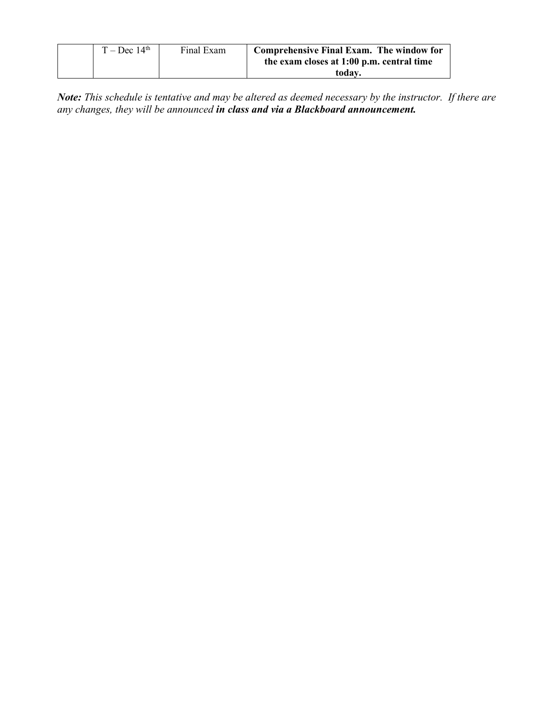| $T - Dec 14th$ | Final Exam | Comprehensive Final Exam. The window for  |
|----------------|------------|-------------------------------------------|
|                |            | the exam closes at 1:00 p.m. central time |
|                |            | today.                                    |

*Note: This schedule is tentative and may be altered as deemed necessary by the instructor. If there are any changes, they will be announced in class and via a Blackboard announcement.*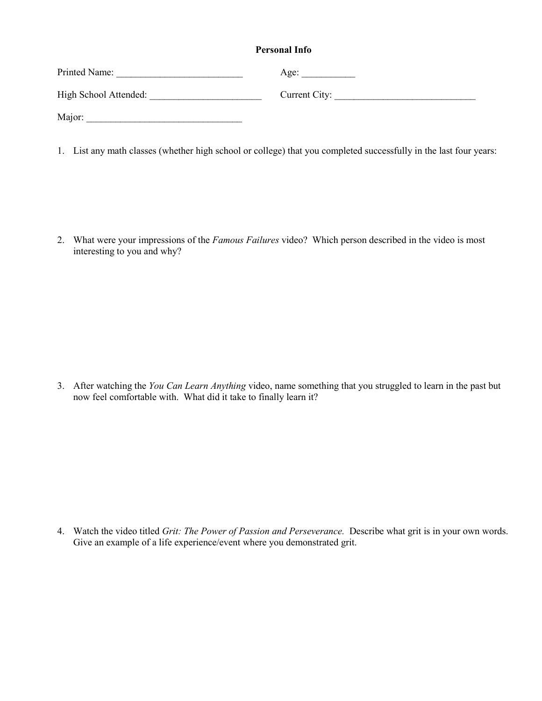#### **Personal Info**

| Printed Name:         | Age:          |
|-----------------------|---------------|
| High School Attended: | Current City: |
| Major:                |               |

1. List any math classes (whether high school or college) that you completed successfully in the last four years:

2. What were your impressions of the *Famous Failures* video? Which person described in the video is most interesting to you and why?

3. After watching the *You Can Learn Anything* video, name something that you struggled to learn in the past but now feel comfortable with. What did it take to finally learn it?

4. Watch the video titled *Grit: The Power of Passion and Perseverance.* Describe what grit is in your own words. Give an example of a life experience/event where you demonstrated grit.